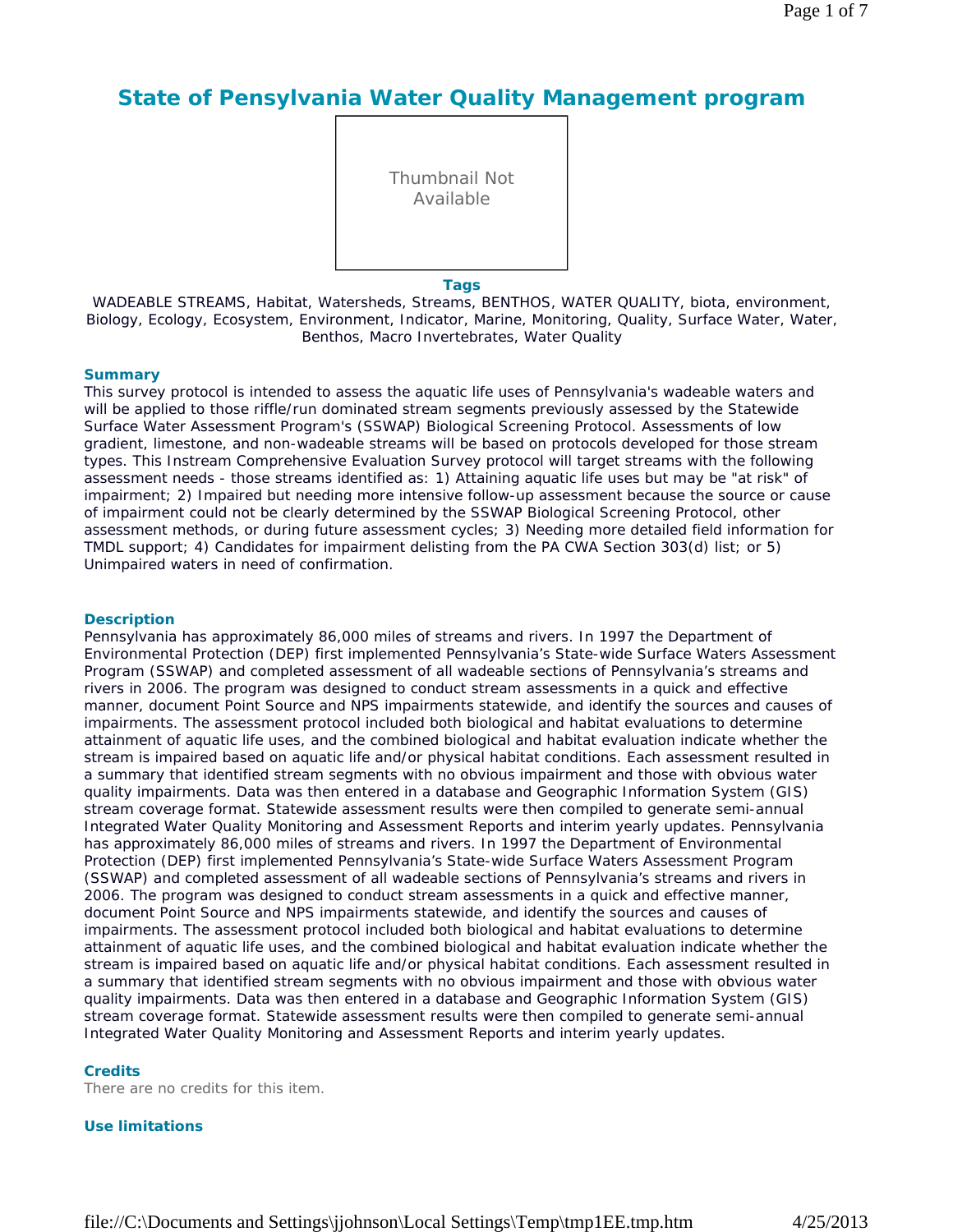# **State of Pensylvania Water Quality Management program**

Thumbnail Not Available

**Tags**

WADEABLE STREAMS, Habitat, Watersheds, Streams, BENTHOS, WATER QUALITY, biota, environment, Biology, Ecology, Ecosystem, Environment, Indicator, Marine, Monitoring, Quality, Surface Water, Water, Benthos, Macro Invertebrates, Water Quality

### **Summary**

This survey protocol is intended to assess the aquatic life uses of Pennsylvania's wadeable waters and will be applied to those riffle/run dominated stream segments previously assessed by the Statewide Surface Water Assessment Program's (SSWAP) Biological Screening Protocol. Assessments of low gradient, limestone, and non-wadeable streams will be based on protocols developed for those stream types. This Instream Comprehensive Evaluation Survey protocol will target streams with the following assessment needs - those streams identified as: 1) Attaining aquatic life uses but may be "at risk" of impairment; 2) Impaired but needing more intensive follow-up assessment because the source or cause of impairment could not be clearly determined by the SSWAP Biological Screening Protocol, other assessment methods, or during future assessment cycles; 3) Needing more detailed field information for TMDL support; 4) Candidates for impairment delisting from the PA CWA Section 303(d) list; or 5) Unimpaired waters in need of confirmation.

### **Description**

Pennsylvania has approximately 86,000 miles of streams and rivers. In 1997 the Department of Environmental Protection (DEP) first implemented Pennsylvania's State-wide Surface Waters Assessment Program (SSWAP) and completed assessment of all wadeable sections of Pennsylvania's streams and rivers in 2006. The program was designed to conduct stream assessments in a quick and effective manner, document Point Source and NPS impairments statewide, and identify the sources and causes of impairments. The assessment protocol included both biological and habitat evaluations to determine attainment of aquatic life uses, and the combined biological and habitat evaluation indicate whether the stream is impaired based on aquatic life and/or physical habitat conditions. Each assessment resulted in a summary that identified stream segments with no obvious impairment and those with obvious water quality impairments. Data was then entered in a database and Geographic Information System (GIS) stream coverage format. Statewide assessment results were then compiled to generate semi-annual Integrated Water Quality Monitoring and Assessment Reports and interim yearly updates. Pennsylvania has approximately 86,000 miles of streams and rivers. In 1997 the Department of Environmental Protection (DEP) first implemented Pennsylvania's State-wide Surface Waters Assessment Program (SSWAP) and completed assessment of all wadeable sections of Pennsylvania's streams and rivers in 2006. The program was designed to conduct stream assessments in a quick and effective manner, document Point Source and NPS impairments statewide, and identify the sources and causes of impairments. The assessment protocol included both biological and habitat evaluations to determine attainment of aquatic life uses, and the combined biological and habitat evaluation indicate whether the stream is impaired based on aquatic life and/or physical habitat conditions. Each assessment resulted in a summary that identified stream segments with no obvious impairment and those with obvious water quality impairments. Data was then entered in a database and Geographic Information System (GIS) stream coverage format. Statewide assessment results were then compiled to generate semi-annual Integrated Water Quality Monitoring and Assessment Reports and interim yearly updates.

### **Credits**

There are no credits for this item.

### **Use limitations**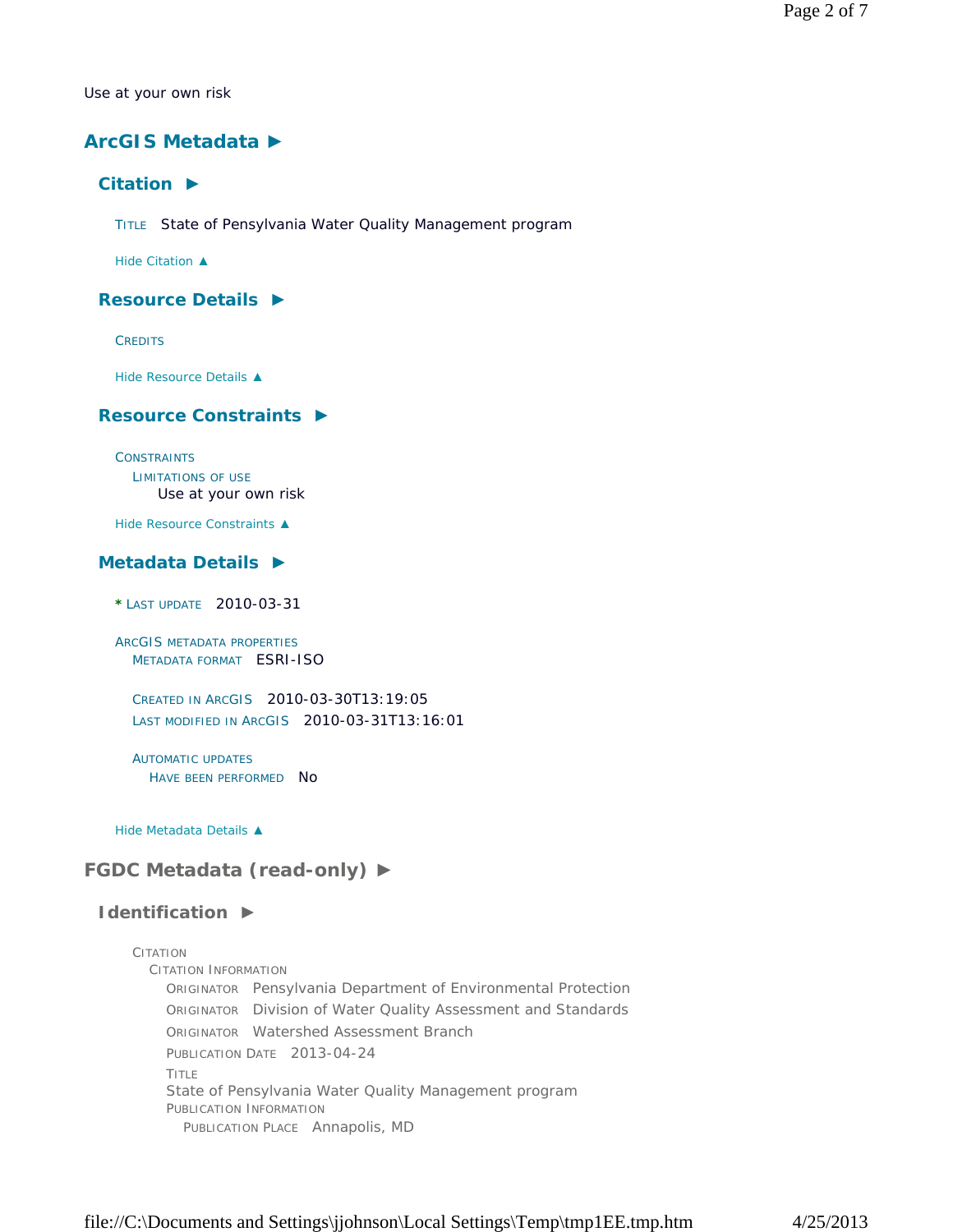Use at your own risk

# **ArcGIS Metadata ►**

# **Citation ►**

TITLE State of Pensylvania Water Quality Management program

*Hide Citation ▲*

# **Resource Details ►**

**CREDITS** 

*Hide Resource Details ▲*

# **Resource Constraints ►**

**CONSTRAINTS** LIMITATIONS OF USE

Use at your own risk

*Hide Resource Constraints ▲*

# **Metadata Details ►**

**\*** LAST UPDATE 2010-03-31

ARCGIS METADATA PROPERTIES METADATA FORMAT ESRI-ISO

CREATED IN ARCGIS 2010-03-30T13:19:05 LAST MODIFIED IN ARCGIS 2010-03-31T13:16:01

AUTOMATIC UPDATES HAVE BEEN PERFORMED NO

*Hide Metadata Details ▲*

# **FGDC Metadata (read-only) ►**

### **Identification ►**

### CITATION

CITATION INFORMATION ORIGINATOR Pensylvania Department of Environmental Protection ORIGINATOR Division of Water Quality Assessment and Standards ORIGINATOR Watershed Assessment Branch PUBLICATION DATE 2013-04-24 TITLE State of Pensylvania Water Quality Management program PUBLICATION INFORMATION PUBLICATION PLACE Annapolis, MD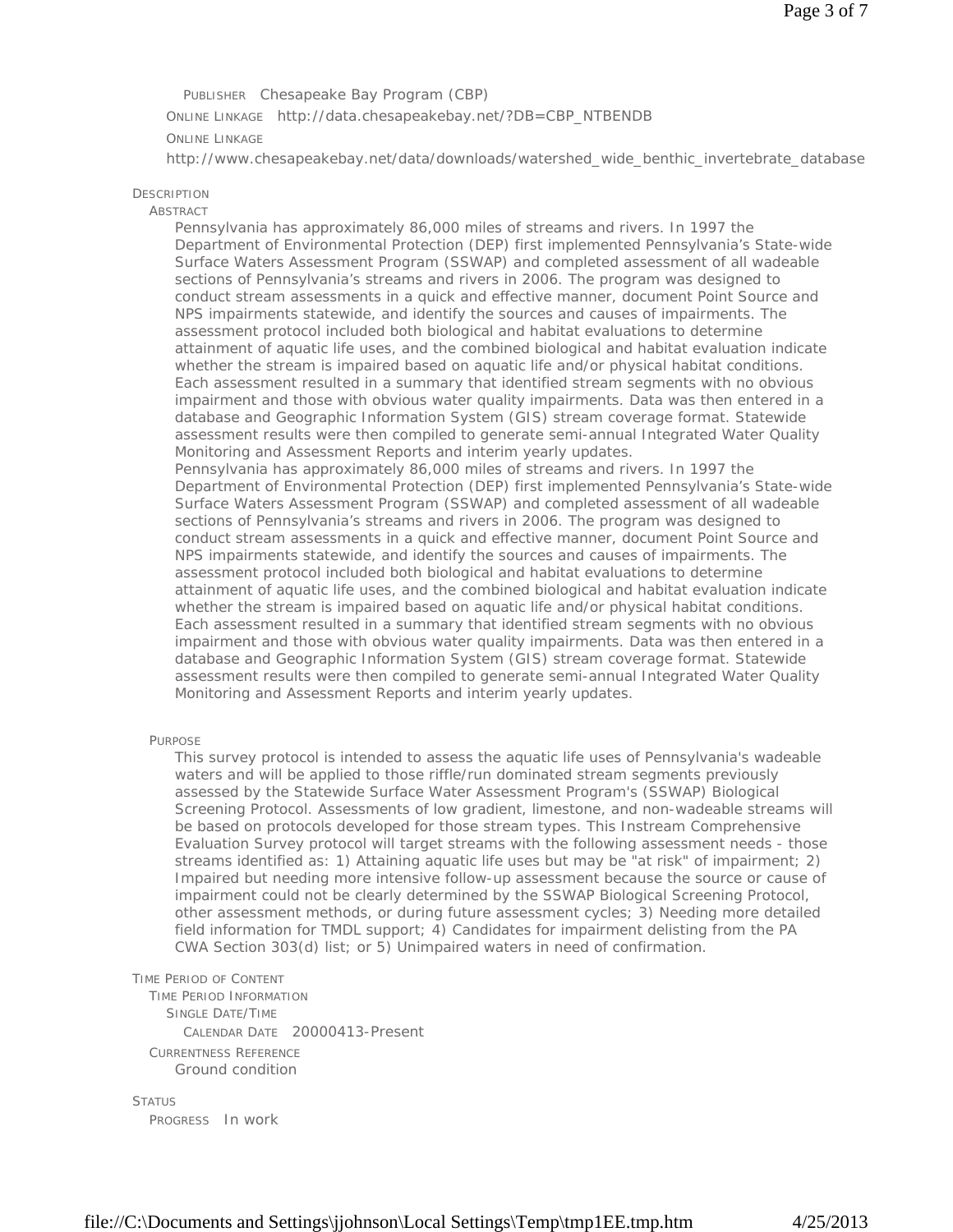PUBLISHER Chesapeake Bay Program (CBP) ONLINE LINKAGE http://data.chesapeakebay.net/?DB=CBP\_NTBENDB ONLINE LINKAGE

http://www.chesapeakebay.net/data/downloads/watershed\_wide\_benthic\_invertebrate\_database

#### **DESCRIPTION**

#### **ABSTRACT**

Pennsylvania has approximately 86,000 miles of streams and rivers. In 1997 the Department of Environmental Protection (DEP) first implemented Pennsylvania's State-wide Surface Waters Assessment Program (SSWAP) and completed assessment of all wadeable sections of Pennsylvania's streams and rivers in 2006. The program was designed to conduct stream assessments in a quick and effective manner, document Point Source and NPS impairments statewide, and identify the sources and causes of impairments. The assessment protocol included both biological and habitat evaluations to determine attainment of aquatic life uses, and the combined biological and habitat evaluation indicate whether the stream is impaired based on aquatic life and/or physical habitat conditions. Each assessment resulted in a summary that identified stream segments with no obvious impairment and those with obvious water quality impairments. Data was then entered in a database and Geographic Information System (GIS) stream coverage format. Statewide assessment results were then compiled to generate semi-annual Integrated Water Quality Monitoring and Assessment Reports and interim yearly updates. Pennsylvania has approximately 86,000 miles of streams and rivers. In 1997 the Department of Environmental Protection (DEP) first implemented Pennsylvania's State-wide

Surface Waters Assessment Program (SSWAP) and completed assessment of all wadeable sections of Pennsylvania's streams and rivers in 2006. The program was designed to conduct stream assessments in a quick and effective manner, document Point Source and NPS impairments statewide, and identify the sources and causes of impairments. The assessment protocol included both biological and habitat evaluations to determine attainment of aquatic life uses, and the combined biological and habitat evaluation indicate whether the stream is impaired based on aquatic life and/or physical habitat conditions. Each assessment resulted in a summary that identified stream segments with no obvious impairment and those with obvious water quality impairments. Data was then entered in a database and Geographic Information System (GIS) stream coverage format. Statewide assessment results were then compiled to generate semi-annual Integrated Water Quality Monitoring and Assessment Reports and interim yearly updates.

#### PURPOSE

This survey protocol is intended to assess the aquatic life uses of Pennsylvania's wadeable waters and will be applied to those riffle/run dominated stream segments previously assessed by the Statewide Surface Water Assessment Program's (SSWAP) Biological Screening Protocol. Assessments of low gradient, limestone, and non-wadeable streams will be based on protocols developed for those stream types. This Instream Comprehensive Evaluation Survey protocol will target streams with the following assessment needs - those streams identified as: 1) Attaining aquatic life uses but may be "at risk" of impairment; 2) Impaired but needing more intensive follow-up assessment because the source or cause of impairment could not be clearly determined by the SSWAP Biological Screening Protocol, other assessment methods, or during future assessment cycles; 3) Needing more detailed field information for TMDL support; 4) Candidates for impairment delisting from the PA CWA Section 303(d) list; or 5) Unimpaired waters in need of confirmation.

TIME PERIOD OF CONTENT

TIME PERIOD INFORMATION SINGLE DATE/TIME CALENDAR DATE 20000413-Present CURRENTNESS REFERENCE Ground condition

### **STATUS**

PROGRESS In work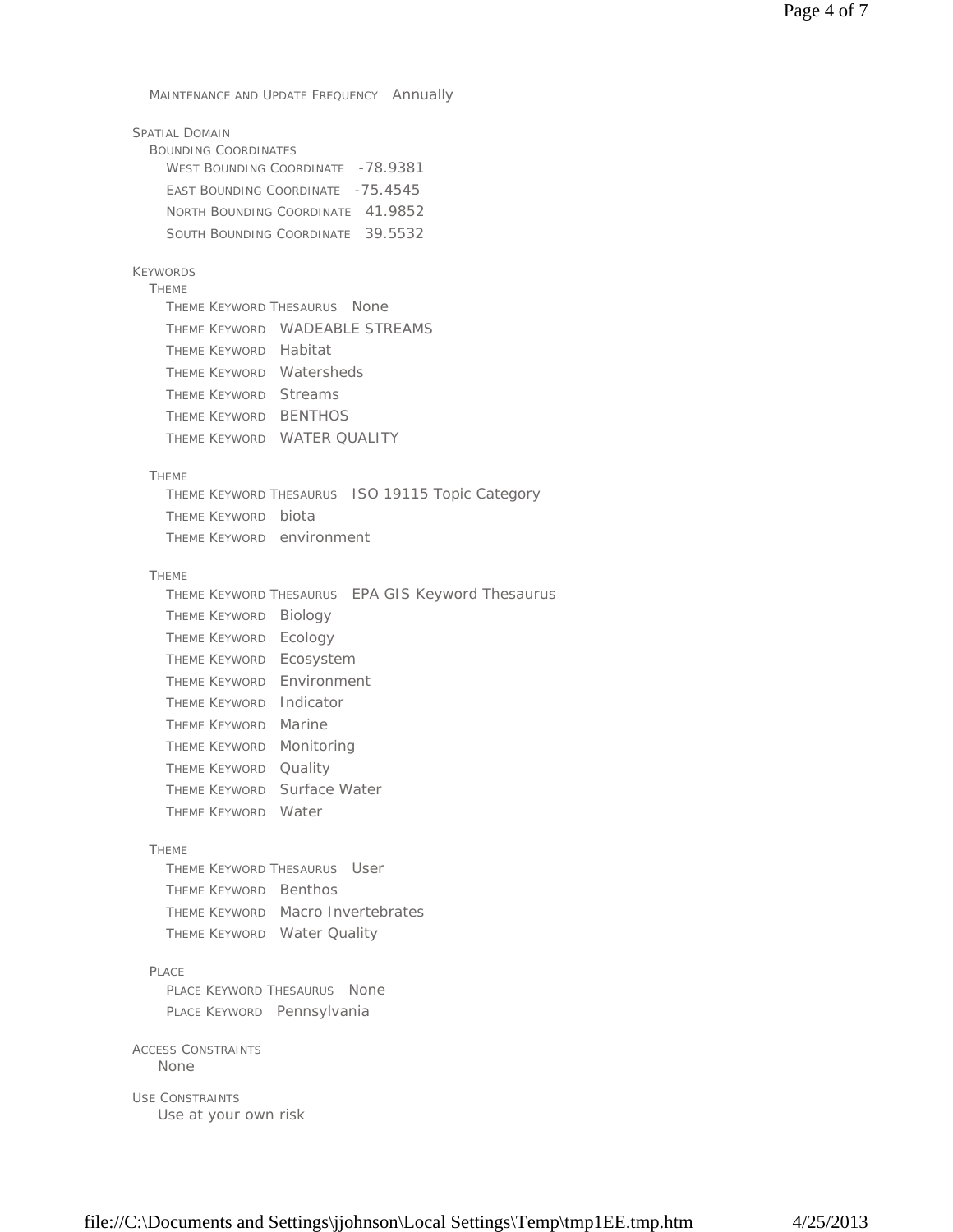MAINTENANCE AND UPDATE FREQUENCY Annually

| SPATIAL DOMAIN                    |  |
|-----------------------------------|--|
| <b>BOUNDING COORDINATES</b>       |  |
| WEST BOUNDING COORDINATE -78.9381 |  |
| EAST BOUNDING COORDINATE -75.4545 |  |
| NORTH BOUNDING COORDINATE 41.9852 |  |
| SOUTH BOUNDING COORDINATE 39.5532 |  |

# KEYWORDS

THEME THEME KEYWORD THESAURUS None THEME KEYWORD WADEABLE STREAMS THEME KEYWORD Habitat THEME KEYWORD Watersheds THEME KEYWORD Streams THEME KEYWORD BENTHOS THEME KEYWORD WATER QUALITY

#### THEME

THEME KEYWORD THESAURUS ISO 19115 Topic Category THEME KEYWORD biota THEME KEYWORD environment

### THEME

|                           | THEME KEYWORD THESAURUS EPA GIS Keyword Thesaurus |
|---------------------------|---------------------------------------------------|
| Theme Keyword Biology     |                                                   |
| THEME KEYWORD Ecology     |                                                   |
| THEME KEYWORD Ecosystem   |                                                   |
| THEME KEYWORD Environment |                                                   |
| THEME KEYWORD Indicator   |                                                   |
| THEME KEYWORD Marine      |                                                   |
| THEME KEYWORD Monitoring  |                                                   |
| THEME KEYWORD Quality     |                                                   |
|                           | THEME KEYWORD Surface Water                       |
| THEME KEYWORD Water       |                                                   |
|                           |                                                   |

### THEME

THEME KEYWORD THESAURUS User THEME KEYWORD Benthos THEME KEYWORD Macro Invertebrates THEME KEYWORD Water Quality

#### PLACE

PLACE KEYWORD THESAURUS None PLACE KEYWORD Pennsylvania

#### ACCESS CONSTRAINTS None

USE CONSTRAINTS Use at your own risk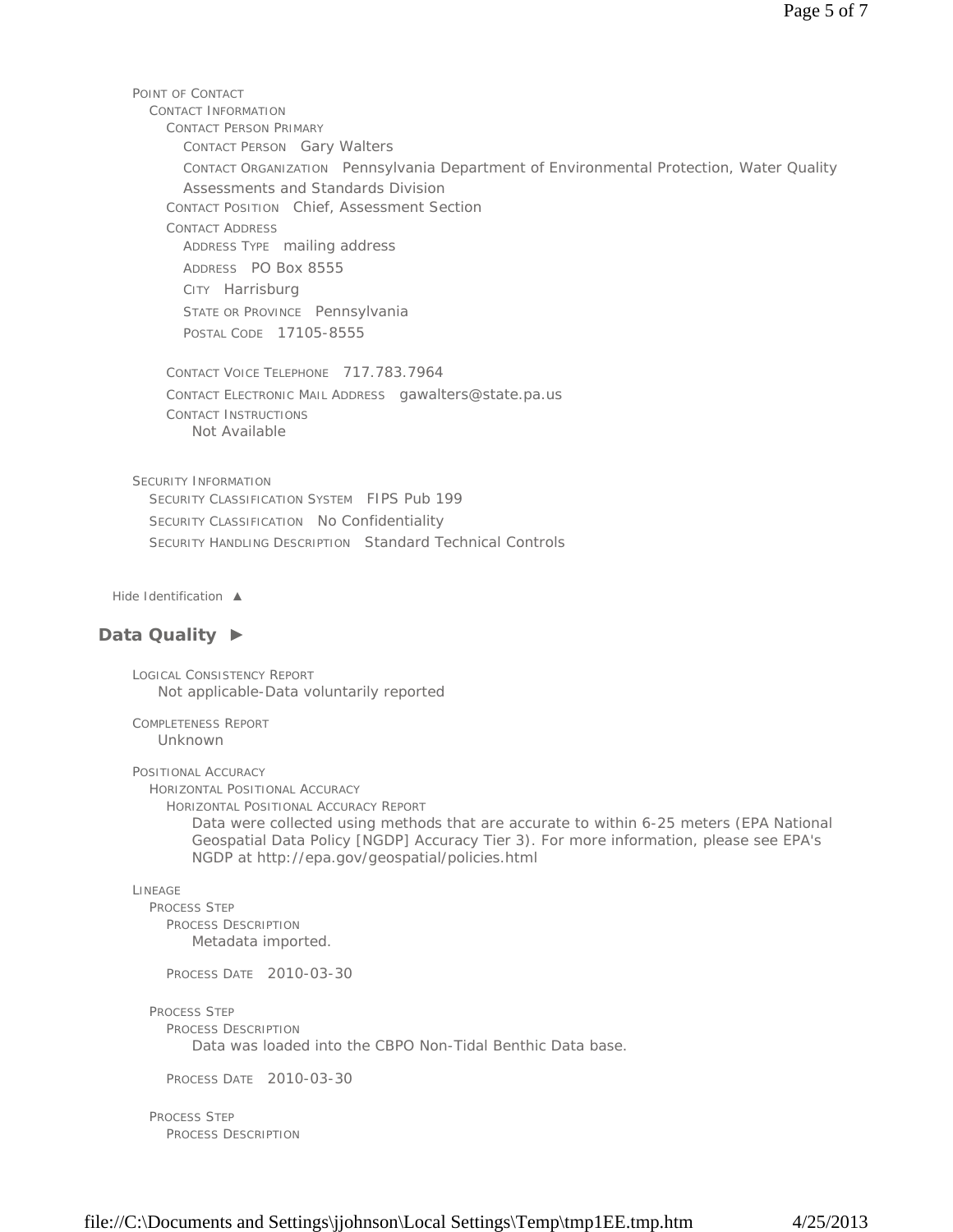POINT OF CONTACT CONTACT INFORMATION CONTACT PERSON PRIMARY CONTACT PERSON Gary Walters CONTACT ORGANIZATION Pennsylvania Department of Environmental Protection, Water Quality Assessments and Standards Division CONTACT POSITION Chief, Assessment Section CONTACT ADDRESS ADDRESS TYPE mailing address ADDRESS PO Box 8555 CITY Harrisburg STATE OR PROVINCE Pennsylvania POSTAL CODE 17105-8555 CONTACT VOICE TELEPHONE 717.783.7964 CONTACT ELECTRONIC MAIL ADDRESS gawalters@state.pa.us CONTACT INSTRUCTIONS SECURITY INFORMATION SECURITY CLASSIFICATION SYSTEM FIPS Pub 199 SECURITY CLASSIFICATION No Confidentiality SECURITY HANDLING DESCRIPTION Standard Technical Controls *Hide Identification ▲* Not Available

# **Data Quality ►**

LOGICAL CONSISTENCY REPORT Not applicable-Data voluntarily reported

COMPLETENESS REPORT Unknown

POSITIONAL ACCURACY

HORIZONTAL POSITIONAL ACCURACY

HORIZONTAL POSITIONAL ACCURACY REPORT

Data were collected using methods that are accurate to within 6-25 meters (EPA National Geospatial Data Policy [NGDP] Accuracy Tier 3). For more information, please see EPA's NGDP at http://epa.gov/geospatial/policies.html

LINEAGE

PROCESS STEP PROCESS DESCRIPTION Metadata imported.

PROCESS DATE 2010-03-30

PROCESS STEP

PROCESS DESCRIPTION

Data was loaded into the CBPO Non-Tidal Benthic Data base.

PROCESS DATE 2010-03-30

PROCESS STEP PROCESS DESCRIPTION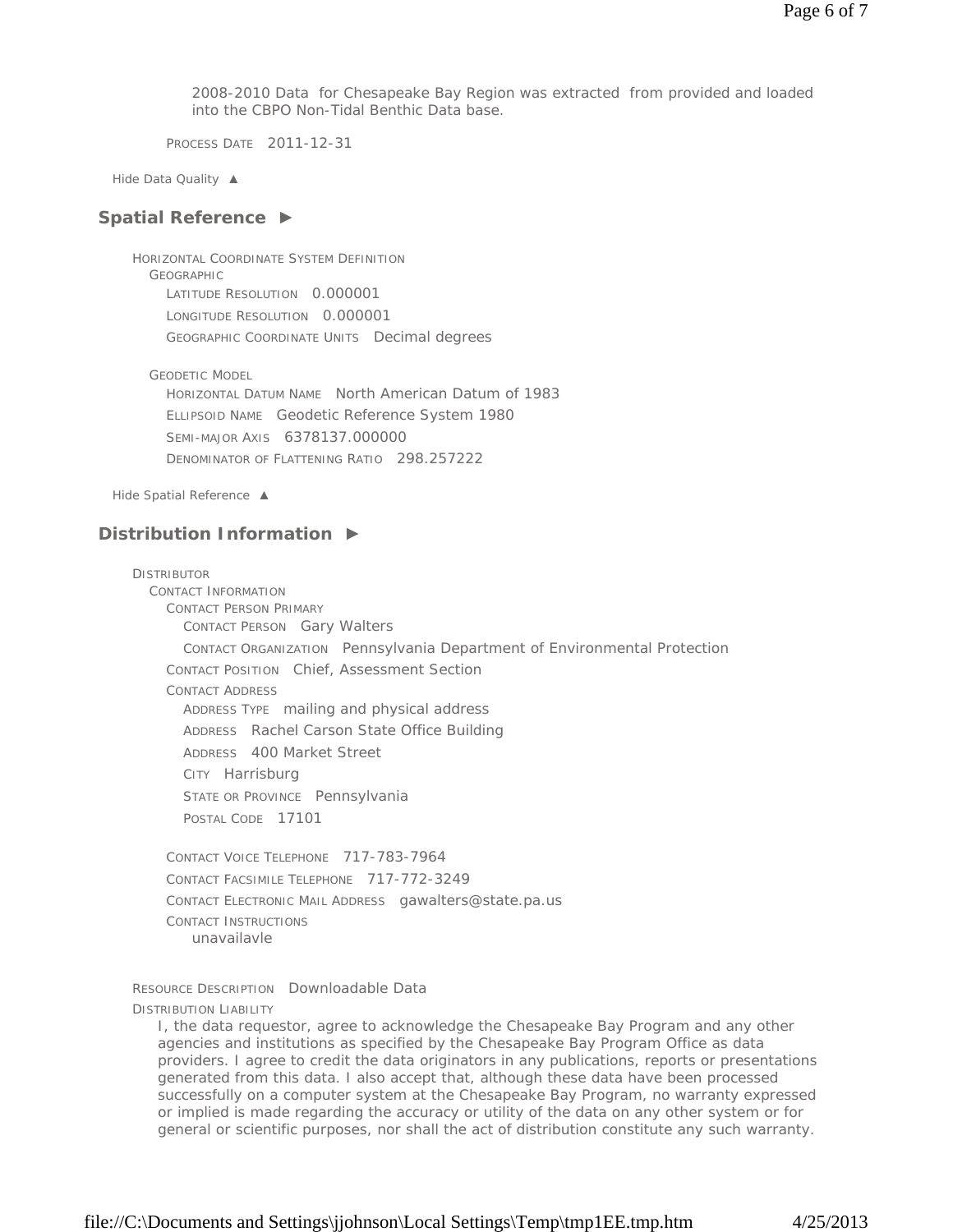2008-2010 Data for Chesapeake Bay Region was extracted from provided and loaded into the CBPO Non-Tidal Benthic Data base.

PROCESS DATE 2011-12-31

*Hide Data Quality ▲*

### **Spatial Reference ►**

HORIZONTAL COORDINATE SYSTEM DEFINITION **GEOGRAPHIC** LATITUDE RESOLUTION 0.000001 LONGITUDE RESOLUTION 0.000001 GEOGRAPHIC COORDINATE UNITS Decimal degrees

GEODETIC MODEL

HORIZONTAL DATUM NAME North American Datum of 1983 ELLIPSOID NAME Geodetic Reference System 1980 SEMI-MAJOR AXIS 6378137.000000 DENOMINATOR OF FLATTENING RATIO 298.257222

*Hide Spatial Reference ▲*

# **Distribution Information ►**

DISTRIBUTOR CONTACT INFORMATION CONTACT PERSON PRIMARY CONTACT PERSON Gary Walters CONTACT ORGANIZATION Pennsylvania Department of Environmental Protection CONTACT POSITION Chief, Assessment Section CONTACT ADDRESS ADDRESS TYPE mailing and physical address ADDRESS Rachel Carson State Office Building ADDRESS 400 Market Street CITY Harrisburg STATE OR PROVINCE Pennsylvania POSTAL CODE 17101 CONTACT VOICE TELEPHONE 717-783-7964 CONTACT FACSIMILE TELEPHONE 717-772-3249 CONTACT ELECTRONIC MAIL ADDRESS gawalters@state.pa.us

CONTACT INSTRUCTIONS unavailavle

RESOURCE DESCRIPTION Downloadable Data

DISTRIBUTION LIABILITY

I, the data requestor, agree to acknowledge the Chesapeake Bay Program and any other agencies and institutions as specified by the Chesapeake Bay Program Office as data providers. I agree to credit the data originators in any publications, reports or presentations generated from this data. I also accept that, although these data have been processed successfully on a computer system at the Chesapeake Bay Program, no warranty expressed or implied is made regarding the accuracy or utility of the data on any other system or for general or scientific purposes, nor shall the act of distribution constitute any such warranty.